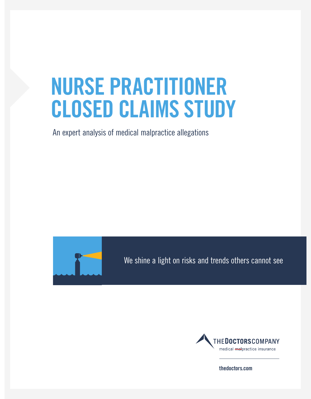# **NURSE PRACTITIONER CLOSED CLAIMS STUDY**

An expert analysis of medical malpractice allegations



We shine a light on risks and trends others cannot see



**thedoctors.com**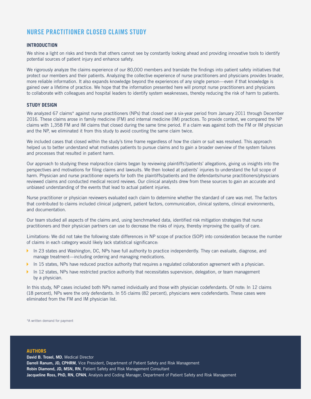## **NURSE PRACTITIONER CLOSED CLAIMS STUDY**

#### **INTRODUCTION**

We shine a light on risks and trends that others cannot see by constantly looking ahead and providing innovative tools to identify potential sources of patient injury and enhance safety.

We rigorously analyze the claims experience of our 80,000 members and translate the findings into patient safety initiatives that protect our members and their patients. Analyzing the collective experience of nurse practitioners and physicians provides broader, more reliable information. It also expands knowledge beyond the experiences of any single person—even if that knowledge is gained over a lifetime of practice. We hope that the information presented here will prompt nurse practitioners and physicians to collaborate with colleagues and hospital leaders to identify system weaknesses, thereby reducing the risk of harm to patients.

#### **STUDY DESIGN**

We analyzed 67 claims\* against nurse practitioners (NPs) that closed over a six-year period from January 2011 through December 2016. These claims arose in family medicine (FM) and internal medicine (IM) practices. To provide context, we compared the NP claims with 1,358 FM and IM claims that closed during the same time period. If a claim was against both the FM or IM physician and the NP, we eliminated it from this study to avoid counting the same claim twice.

We included cases that closed within the study's time frame regardless of how the claim or suit was resolved. This approach helped us to better understand what motivates patients to pursue claims and to gain a broader overview of the system failures and processes that resulted in patient harm.

Our approach to studying these malpractice claims began by reviewing plaintiffs'/patients' allegations, giving us insights into the perspectives and motivations for filing claims and lawsuits. We then looked at patients' injuries to understand the full scope of harm. Physician and nurse practitioner experts for both the plaintiffs/patients and the defendants/nurse practitioners/physicians reviewed claims and conducted medical record reviews. Our clinical analysts drew from these sources to gain an accurate and unbiased understanding of the events that lead to actual patient injuries.

Nurse practitioner or physician reviewers evaluated each claim to determine whether the standard of care was met. The factors that contributed to claims included clinical judgment, patient factors, communication, clinical systems, clinical environments, and documentation.

Our team studied all aspects of the claims and, using benchmarked data, identified risk mitigation strategies that nurse practitioners and their physician partners can use to decrease the risks of injury, thereby improving the quality of care.

Limitations: We did not take the following state differences in NP scope of practice (SOP) into consideration because the number of claims in each category would likely lack statistical significance:

- ▶ In 23 states and Washington, DC, NPs have full authority to practice independently. They can evaluate, diagnose, and manage treatment—including ordering and managing medications.
- In 15 states, NPs have reduced practice authority that requires a regulated collaboration agreement with a physician.
- In 12 states, NPs have restricted practice authority that necessitates supervision, delegation, or team management by a physician.

In this study, NP cases included both NPs named individually and those with physician codefendants. Of note: In 12 claims (18 percent), NPs were the only defendants. In 55 claims (82 percent), physicians were codefendants. These cases were eliminated from the FM and IM physician list.

\*A written demand for payment

#### **AUTHORS**

**Jacqueline Ross, PhD, RN, CPAN**, Analysis and Coding Manager, Department of Patient Safety and Risk Management **David B. Troxel, MD**, Medical Director **Darrell Ranum, JD, CPHRM**, Vice President, Department of Patient Safety and Risk Management **Robin Diamond, JD, MSN, RN**, Patient Safety and Risk Management Consultant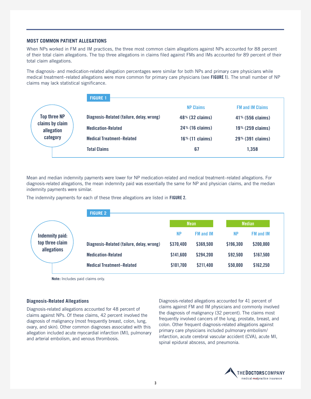#### **MOST COMMON PATIENT ALLEGATIONS**

When NPs worked in FM and IM practices, the three most common claim allegations against NPs accounted for 88 percent of their total claim allegations. The top three allegations in claims filed against FMs and IMs accounted for 89 percent of their total claim allegations.

The diagnosis- and medication-related allegation percentages were similar for both NPs and primary care physicians while medical treatment–related allegations were more common for primary care physicians (see **FIGURE 1**). The small number of NP claims may lack statistical significance.

|                               | <b>FIGURE 1</b>                           |                    |                         |
|-------------------------------|-------------------------------------------|--------------------|-------------------------|
|                               |                                           | <b>NP Claims</b>   | <b>FM and IM Claims</b> |
| <b>Top three NP</b>           | Diagnosis-Related (failure, delay, wrong) | $48\%$ (32 claims) | $41\%$ (556 claims)     |
| claims by claim<br>allegation | <b>Medication-Related</b>                 | $24\%$ (16 claims) | $19\%$ (259 claims)     |
| category                      | <b>Medical Treatment-Related</b>          | $16\%$ (11 claims) | 29% (391 claims)        |
|                               | <b>Total Claims</b>                       | 67                 | 1,358                   |

Mean and median indemnity payments were lower for NP medication-related and medical treatment–related allegations. For diagnosis-related allegations, the mean indemnity paid was essentially the same for NP and physician claims, and the median indemnity payments were similar.

The indemnity payments for each of these three allegations are listed in **FIGURE 2.**



**Note:** Includes paid claims only.

#### **Diagnosis-Related Allegations**

Diagnosis-related allegations accounted for 48 percent of claims against NPs. Of these claims, 42 percent involved the diagnosis of malignancy (most frequently breast, colon, lung, ovary, and skin). Other common diagnoses associated with this allegation included acute myocardial infarction (MI), pulmonary and arterial embolism, and venous thrombosis.

Diagnosis-related allegations accounted for 41 percent of claims against FM and IM physicians and commonly involved the diagnosis of malignancy (32 percent). The claims most frequently involved cancers of the lung, prostate, breast, and colon. Other frequent diagnosis-related allegations against primary care physicians included pulmonary embolism/ infarction, acute cerebral vascular accident (CVA), acute MI, spinal epidural abscess, and pneumonia.

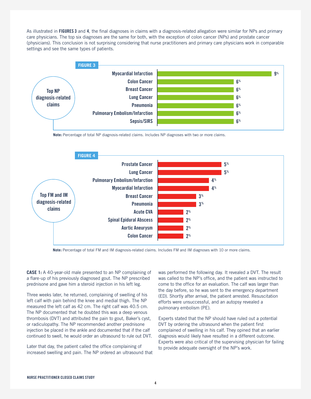As illustrated in **FIGURES 3** and **4**, the final diagnoses in claims with a diagnosis-related allegation were similar for NPs and primary care physicians. The top six diagnoses are the same for both, with the exception of colon cancer (NPs) and prostate cancer (physicians). This conclusion is not surprising considering that nurse practitioners and primary care physicians work in comparable settings and see the same types of patients.



**Note:** Percentage of total NP diagnosis-related claims. Includes NP diagnoses with two or more claims.

![](_page_3_Figure_3.jpeg)

**Note:** Percentage of total FM and IM diagnosis-related claims. Includes FM and IM diagnoses with 10 or more claims.

**CASE 1:** A 40-year-old male presented to an NP complaining of a flare-up of his previously diagnosed gout. The NP prescribed prednisone and gave him a steroid injection in his left leg.

Three weeks later, he returned, complaining of swelling of his left calf with pain behind the knee and medial thigh. The NP measured the left calf as 42 cm. The right calf was 40.5 cm. The NP documented that he doubted this was a deep venous thrombosis (DVT) and attributed the pain to gout, Baker's cyst, or radiculopathy. The NP recommended another prednisone injection be placed in the ankle and documented that if the calf continued to swell, he would order an ultrasound to rule out DVT.

Later that day, the patient called the office complaining of increased swelling and pain. The NP ordered an ultrasound that

was performed the following day. It revealed a DVT. The result was called to the NP's office, and the patient was instructed to come to the office for an evaluation. The calf was larger than the day before, so he was sent to the emergency department (ED). Shortly after arrival, the patient arrested. Resuscitation efforts were unsuccessful, and an autopsy revealed a pulmonary embolism (PE).

Experts stated that the NP should have ruled out a potential DVT by ordering the ultrasound when the patient first complained of swelling in his calf. They opined that an earlier diagnosis would likely have resulted in a different outcome. Experts were also critical of the supervising physician for failing to provide adequate oversight of the NP's work.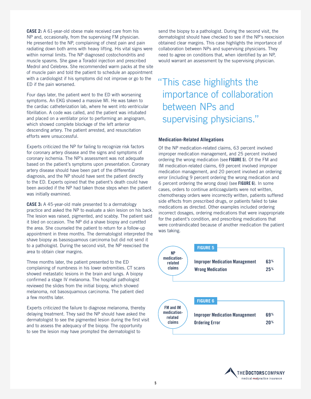**CASE 2:** A 61-year-old obese male received care from his NP and, occasionally, from the supervising FM physician. He presented to the NP, complaining of chest pain and pain radiating down both arms with heavy lifting. His vital signs were within normal limits. The NP diagnosed costochondritis and muscle spasms. She gave a Toradol injection and prescribed Medrol and Celebrex. She recommended warm packs at the site of muscle pain and told the patient to schedule an appointment with a cardiologist if his symptoms did not improve or go to the ED if the pain worsened.

Four days later, the patient went to the ED with worsening symptoms. An EKG showed a massive MI. He was taken to the cardiac catheterization lab, where he went into ventricular fibrillation. A code was called, and the patient was intubated and placed on a ventilator prior to performing an angiogram, which showed complete blockage of the left anterior descending artery. The patient arrested, and resuscitation efforts were unsuccessful.

Experts criticized the NP for failing to recognize risk factors for coronary artery disease and the signs and symptoms of coronary ischemia. The NP's assessment was not adequate based on the patient's symptoms upon presentation. Coronary artery disease should have been part of the differential diagnosis, and the NP should have sent the patient directly to the ED. Experts opined that the patient's death could have been avoided if the NP had taken those steps when the patient was initially examined.

**CASE 3:** A 45-year-old male presented to a dermatology practice and asked the NP to evaluate a skin lesion on his back. The lesion was raised, pigmented, and scabby. The patient said it bled on occasion. The NP did a shave biopsy and curetted the area. She counseled the patient to return for a follow-up appointment in three months. The dermatologist interpreted the shave biopsy as basosquamous carcinoma but did not send it to a pathologist. During the second visit, the NP reexcised the area to obtain clear margins.

Three months later, the patient presented to the ED complaining of numbness in his lower extremities. CT scans showed metastatic lesions in the brain and lungs. A biopsy confirmed a stage IV melanoma. The hospital pathologist reviewed the slides from the initial biopsy, which showed melanoma, not basosquamous carcinoma. The patient died a few months later.

Experts criticized the failure to diagnose melanoma, thereby delaying treatment. They said the NP should have asked the dermatologist to see the pigmented lesion during the first visit and to assess the adequacy of the biopsy. The opportunity to see the lesion may have prompted the dermatologist to

send the biopsy to a pathologist. During the second visit, the dermatologist should have checked to see if the NP's reexcision obtained clear margins. This case highlights the importance of collaboration between NPs and supervising physicians. They need to agree on conditions that, when identified by an NP, would warrant an assessment by the supervising physician.

# "This case highlights the importance of collaboration between NPs and supervising physicians."

#### **Medication-Related Allegations**

Of the NP medication-related claims, 63 percent involved improper medication management, and 25 percent involved ordering the wrong medication (see **FIGURE 5**). Of the FM and IM medication-related claims, 69 percent involved improper medication management, and 20 percent involved an ordering error (including 9 percent ordering the wrong medication and 6 percent ordering the wrong dose) (see **FIGURE 6**). In some cases, orders to continue anticoagulants were not written, chemotherapy orders were incorrectly written, patients suffered side effects from prescribed drugs, or patients failed to take medications as directed. Other examples included ordering incorrect dosages, ordering medications that were inappropriate for the patient's condition, and prescribing medications that were contraindicated because of another medication the patient was taking.

![](_page_4_Figure_10.jpeg)

![](_page_4_Picture_11.jpeg)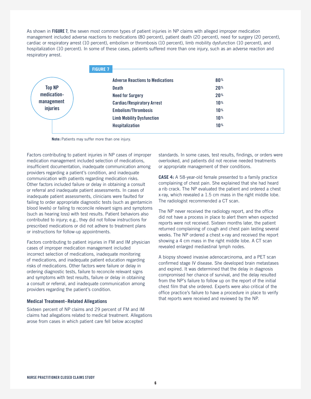As shown in **FIGURE 7**, the seven most common types of patient injuries in NP claims with alleged improper medication management included adverse reactions to medications (80 percent), patient death (20 percent), need for surgery (20 percent), cardiac or respiratory arrest (10 percent), embolism or thrombosis (10 percent), limb mobility dysfunction (10 percent), and hospitalization (10 percent). In some of these cases, patients suffered more than one injury, such as an adverse reaction and respiratory arrest.

|                 | <b>FIGURE 7</b>                         |                 |  |
|-----------------|-----------------------------------------|-----------------|--|
|                 | <b>Adverse Reactions to Medications</b> | 80 <sup>%</sup> |  |
| <b>Top NP</b>   | <b>Death</b>                            | 20 <sup>%</sup> |  |
| medication-     | <b>Need for Surgery</b>                 | 20 <sup>%</sup> |  |
| management      | <b>Cardiac/Respiratory Arrest</b>       | 10 <sup>%</sup> |  |
| <b>injuries</b> | <b>Embolism/Thrombosis</b>              | 10 <sup>%</sup> |  |
|                 | <b>Limb Mobility Dysfunction</b>        | 10 <sup>%</sup> |  |
|                 | Hospitalization                         | 10 <sup>%</sup> |  |

**Note:** Patients may suffer more than one injury.

Factors contributing to patient injuries in NP cases of improper medication management included selection of medications, insufficient documentation, inadequate communication among providers regarding a patient's condition, and inadequate communication with patients regarding medication risks. Other factors included failure or delay in obtaining a consult or referral and inadequate patient assessments. In cases of inadequate patient assessments, clinicians were faulted for failing to order appropriate diagnostic tests (such as gentamicin blood levels) or failing to reconcile relevant signs and symptoms (such as hearing loss) with test results. Patient behaviors also contributed to injury; e.g., they did not follow instructions for prescribed medications or did not adhere to treatment plans or instructions for follow-up appointments.

Factors contributing to patient injuries in FM and IM physician cases of improper medication management included incorrect selection of medications, inadequate monitoring of medications, and inadequate patient education regarding risks of medications. Other factors were failure or delay in ordering diagnostic tests, failure to reconcile relevant signs and symptoms with test results, failure or delay in obtaining a consult or referral, and inadequate communication among providers regarding the patient's condition.

#### **Medical Treatment–Related Allegations**

Sixteen percent of NP claims and 29 percent of FM and IM claims had allegations related to medical treatment. Allegations arose from cases in which patient care fell below accepted

standards. In some cases, test results, findings, or orders were overlooked, and patients did not receive needed treatments or appropriate management of their conditions.

**CASE 4:** A 58-year-old female presented to a family practice complaining of chest pain. She explained that she had heard a rib crack. The NP evaluated the patient and ordered a chest x-ray, which revealed a 1.5 cm mass in the right middle lobe. The radiologist recommended a CT scan.

The NP never received the radiology report, and the office did not have a process in place to alert them when expected reports were not received. Sixteen months later, the patient returned complaining of cough and chest pain lasting several weeks. The NP ordered a chest x-ray and received the report showing a 4 cm mass in the right middle lobe. A CT scan revealed enlarged mediastinal lymph nodes.

A biopsy showed invasive adenocarcinoma, and a PET scan confirmed stage IV disease. She developed brain metastases and expired. It was determined that the delay in diagnosis compromised her chance of survival, and the delay resulted from the NP's failure to follow up on the report of the initial chest film that she ordered. Experts were also critical of the office practice's failure to have a procedure in place to verify that reports were received and reviewed by the NP.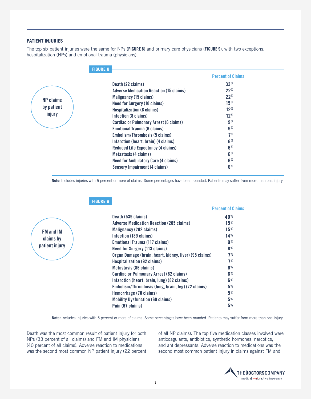#### **PATIENT INJURIES**

The top six patient injuries were the same for NPs (**FIGURE 8**) and primary care physicians (**FIGURE 9**), with two exceptions: hospitalization (NPs) and emotional trauma (physicians).

|                  | <b>FIGURE 8</b>                                |                          |  |
|------------------|------------------------------------------------|--------------------------|--|
|                  |                                                | <b>Percent of Claims</b> |  |
|                  | Death (22 claims)                              | $33^{\circ}$             |  |
|                  | <b>Adverse Medication Reaction (15 claims)</b> | $22^{\circ}$             |  |
|                  | <b>Malignancy (15 claims)</b>                  | $22^{\circ}$             |  |
| <b>NP claims</b> | <b>Need for Surgery (10 claims)</b>            | 15 <sup>%</sup>          |  |
| by patient       | <b>Hospitalization (8 claims)</b>              | $12^{\%}$                |  |
| injury           | Infection (8 claims)                           | $12^{\%}$                |  |
|                  | <b>Cardiac or Pulmonary Arrest (6 claims)</b>  | 9 <sup>%</sup>           |  |
|                  | <b>Emotional Trauma (6 claims)</b>             | 9 <sup>%</sup>           |  |
|                  | Embolism/Thrombosis (5 claims)                 | 7 <sup>%</sup>           |  |
|                  | Infarction (heart, brain) (4 claims)           | 6 <sup>%</sup>           |  |
|                  | <b>Reduced Life Expectancy (4 claims)</b>      | 6 <sup>%</sup>           |  |
|                  | Metastasis (4 claims)                          | 6 <sup>%</sup>           |  |
|                  | <b>Need for Ambulatory Care (4 claims)</b>     | 6 <sup>%</sup>           |  |
|                  | <b>Sensory Impairment (4 claims)</b>           | 6 <sup>%</sup>           |  |

**Note:** Includes injuries with 6 percent or more of claims. Some percentages have been rounded. Patients may suffer from more than one injury.

|                  | <b>FIGURE 9</b>                                        |                          |  |
|------------------|--------------------------------------------------------|--------------------------|--|
|                  |                                                        | <b>Percent of Claims</b> |  |
|                  | Death (539 claims)                                     | 40%                      |  |
|                  | <b>Adverse Medication Reaction (205 claims)</b>        | 15 <sup>%</sup>          |  |
| <b>FM and IM</b> | Malignancy (202 claims)                                | 15 <sup>%</sup>          |  |
| claims by        | Infection (189 claims)                                 | 14%                      |  |
|                  | Emotional Trauma (117 claims)                          | $9\%$                    |  |
| patient injury   | <b>Need for Surgery (113 claims)</b>                   | 8%                       |  |
|                  | Organ Damage (brain, heart, kidney, liver) (95 claims) | 7%                       |  |
|                  | <b>Hospitalization (92 claims)</b>                     | 7%                       |  |
|                  | Metastasis (86 claims)                                 | 6 <sup>%</sup>           |  |
|                  | <b>Cardiac or Pulmonary Arrest (82 claims)</b>         | 6%                       |  |
|                  | Infarction (heart, brain, lung) (82 claims)            | 6%                       |  |
|                  | Embolism/Thrombosis (lung, brain, leg) (72 claims)     | 5 <sup>%</sup>           |  |
|                  | Hemorrhage (70 claims)                                 | 5 <sup>%</sup>           |  |
|                  | <b>Mobility Dysfunction (69 claims)</b>                | 5%                       |  |
|                  | Pain (67 claims)                                       | 5 <sup>%</sup>           |  |

**Note:** Includes injuries with 5 percent or more of claims. Some percentages have been rounded. Patients may suffer from more than one injury.

Death was the most common result of patient injury for both NPs (33 percent of all claims) and FM and IM physicians (40 percent of all claims). Adverse reaction to medications was the second most common NP patient injury (22 percent

of all NP claims). The top five medication classes involved were anticoagulants, antibiotics, synthetic hormones, narcotics, and antidepressants. Adverse reaction to medications was the second most common patient injury in claims against FM and

![](_page_6_Picture_8.jpeg)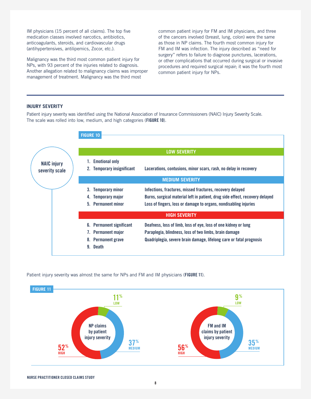IM physicians (15 percent of all claims). The top five medication classes involved narcotics, antibiotics, anticoagulants, steroids, and cardiovascular drugs (antihypertensives, antilipemics, Zocor, etc.).

Malignancy was the third most common patient injury for NPs, with 93 percent of the injuries related to diagnosis. Another allegation related to malignancy claims was improper management of treatment. Malignancy was the third most

common patient injury for FM and IM physicians, and three of the cancers involved (breast, lung, colon) were the same as those in NP claims. The fourth most common injury for FM and IM was infection. The injury described as "need for surgery" refers to failure to diagnose punctures, lacerations, or other complications that occurred during surgical or invasive procedures and required surgical repair; it was the fourth most common patient injury for NPs.

#### **INJURY SEVERITY**

Patient injury severity was identified using the National Association of Insurance Commissioners (NAIC) Injury Severity Scale. The scale was rolled into low, medium, and high categories (**FIGURE 10**).

![](_page_7_Figure_5.jpeg)

Patient injury severity was almost the same for NPs and FM and IM physicians (**FIGURE 11**).

![](_page_7_Figure_7.jpeg)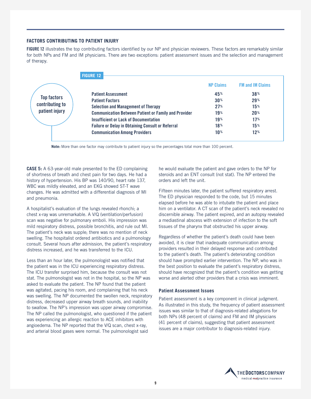#### **FACTORS CONTRIBUTING TO PATIENT INJURY**

**FIGURE 12** illustrates the top contributing factors identified by our NP and physician reviewers. These factors are remarkably similar for both NPs and FM and IM physicians. There are two exceptions: patient assessment issues and the selection and management of therapy.

|                    | <b>FIGURE 12</b>                                            |                  |                         |
|--------------------|-------------------------------------------------------------|------------------|-------------------------|
|                    |                                                             | <b>NP Claims</b> | <b>FM and IM Claims</b> |
| <b>Top factors</b> | <b>Patient Assessment</b>                                   | 45%              | 38%                     |
|                    | <b>Patient Factors</b>                                      | 30 <sup>%</sup>  | 29%                     |
| contributing to    | <b>Selection and Management of Therapy</b>                  | 27%              | 15%                     |
| patient injury     | <b>Communication Between Patient or Family and Provider</b> | 19%              | 20 <sup>%</sup>         |
|                    | <b>Insufficient or Lack of Documentation</b>                | 19%              | 17%                     |
|                    | <b>Failure or Delay in Obtaining Consult or Referral</b>    | 18%              | 15%                     |
|                    | <b>Communication Among Providers</b>                        | 10%              | 12%                     |

**Note:** More than one factor may contribute to patient injury so the percentages total more than 100 percent.

**CASE 5:** A 63-year-old male presented to the ED complaining of shortness of breath and chest pain for two days. He had a history of hypertension. His BP was 140/90, heart rate 137, WBC was mildly elevated, and an EKG showed ST-T wave changes. He was admitted with a differential diagnosis of MI and pneumonia.

A hospitalist's evaluation of the lungs revealed rhonchi; a chest x-ray was unremarkable. A V/Q (ventilation/perfusion) scan was negative for pulmonary emboli. His impression was mild respiratory distress, possible bronchitis, and rule out MI. The patient's neck was supple; there was no mention of neck swelling. The hospitalist ordered antibiotics and a pulmonology consult. Several hours after admission, the patient's respiratory distress increased, and he was transferred to the ICU.

Less than an hour later, the pulmonologist was notified that the patient was in the ICU experiencing respiratory distress. The ICU transfer surprised him, because the consult was not stat. The pulmonologist was not in the hospital, so the NP was asked to evaluate the patient. The NP found that the patient was agitated, pacing his room, and complaining that his neck was swelling. The NP documented the swollen neck, respiratory distress, decreased upper airway breath sounds, and inability to swallow. The NP's impression was upper airway compromise. The NP called the pulmonologist, who questioned if the patient was experiencing an allergic reaction to ACE inhibitors with angioedema. The NP reported that the V/Q scan, chest x-ray, and arterial blood gases were normal. The pulmonologist said

he would evaluate the patient and gave orders to the NP for steroids and an ENT consult (not stat). The NP entered the orders and left the unit.

Fifteen minutes later, the patient suffered respiratory arrest. The ED physician responded to the code, but 15 minutes elapsed before he was able to intubate the patient and place him on a ventilator. A CT scan of the patient's neck revealed no discernible airway. The patient expired, and an autopsy revealed a mediastinal abscess with extension of infection to the soft tissues of the pharynx that obstructed his upper airway.

Regardless of whether the patient's death could have been avoided, it is clear that inadequate communication among providers resulted in their delayed response and contributed to the patient's death. The patient's deteriorating condition should have prompted earlier intervention. The NP, who was in the best position to evaluate the patient's respiratory distress, should have recognized that the patient's condition was getting worse and alerted other providers that a crisis was imminent.

#### **Patient Assessment Issues**

Patient assessment is a key component in clinical judgment. As illustrated in this study, the frequency of patient assessment issues was similar to that of diagnosis-related allegations for both NPs (48 percent of claims) and FM and IM physicians (41 percent of claims), suggesting that patient assessment issues are a major contributor to diagnosis-related injury.

![](_page_8_Picture_12.jpeg)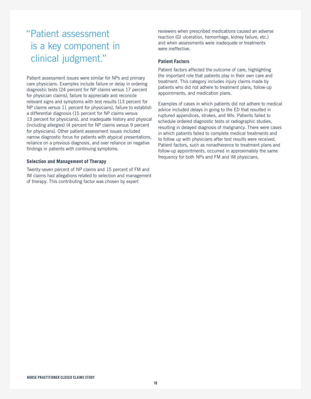# "Patient assessment is a key component in clinical judgment."

Patient assessment issues were similar for NPs and primary care physicians. Examples include failure or delay in ordering diagnostic tests (24 percent for NP claims versus 17 percent for physician claims), failure to appreciate and reconcile relevant signs and symptoms with test results (13 percent for NP claims versus 11 percent for physicians), failure to establish a differential diagnosis (15 percent for NP claims versus 13 percent for physicians), and inadequate history and physical (including allergies) (4 percent for NP claims versus 9 percent for physicians). Other patient assessment issues included narrow diagnostic focus for patients with atypical presentations, reliance on a previous diagnosis, and over reliance on negative findings in patients with continuing symptoms.

#### **Selection and Management of Therapy**

Twenty-seven percent of NP claims and 15 percent of FM and IM claims had allegations related to selection and management of therapy. This contributing factor was chosen by expert

reviewers when prescribed medications caused an adverse reaction (GI ulceration, hemorrhage, kidney failure, etc.) and when assessments were inadequate or treatments were ineffective.

#### **Patient Factors**

Patient factors affected the outcome of care, highlighting the important role that patients play in their own care and treatment. This category includes injury claims made by patients who did not adhere to treatment plans, follow-up appointments, and medication plans.

Examples of cases in which patients did not adhere to medical advice included delays in going to the ED that resulted in ruptured appendices, strokes, and MIs. Patients failed to schedule ordered diagnostic tests or radiographic studies, resulting in delayed diagnosis of malignancy. There were cases in which patients failed to complete medical treatments and to follow up with physicians after test results were received. Patient factors, such as nonadherence to treatment plans and follow-up appointments, occurred in approximately the same frequency for both NPs and FM and IM physicians.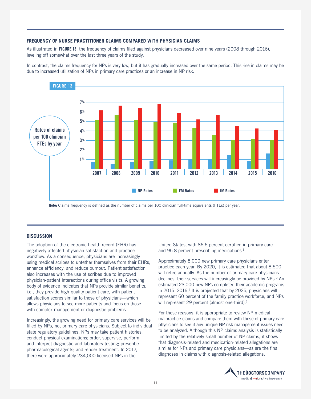#### **FREQUENCY OF NURSE PRACTITIONER CLAIMS COMPARED WITH PHYSICIAN CLAIMS**

As illustrated in **FIGURE 13**, the frequency of claims filed against physicians decreased over nine years (2008 through 2016), leveling off somewhat over the last three years of the study.

In contrast, the claims frequency for NPs is very low, but it has gradually increased over the same period. This rise in claims may be due to increased utilization of NPs in primary care practices or an increase in NP risk.

![](_page_10_Figure_3.jpeg)

**Note:** Claims frequency is defined as the number of claims per 100 clinician full-time equivalents (FTEs) per year.

#### **DISCUSSION**

The adoption of the electronic health record (EHR) has negatively affected physician satisfaction and practice workflow. As a consequence, physicians are increasingly using medical scribes to untether themselves from their EHRs, enhance efficiency, and reduce burnout. Patient satisfaction also increases with the use of scribes due to improved physician-patient interactions during office visits. A growing body of evidence indicates that NPs provide similar benefits; i.e., they provide high-quality patient care, with patient satisfaction scores similar to those of physicians—which allows physicians to see more patients and focus on those with complex management or diagnostic problems.

Increasingly, the growing need for primary care services will be filled by NPs, not primary care physicians. Subject to individual state regulatory guidelines, NPs may take patient histories; conduct physical examinations; order, supervise, perform, and interpret diagnostic and laboratory testing; prescribe pharmacological agents; and render treatment. In 2017, there were approximately 234,000 licensed NPs in the

United States, with 86.6 percent certified in primary care and 95.8 percent prescribing medications.<sup>1</sup>

Approximately 8,000 new primary care physicians enter practice each year. By 2020, it is estimated that about 8,500 will retire annually. As the number of primary care physicians declines, their services will increasingly be provided by NPs.<sup>2</sup> An estimated 23,000 new NPs completed their academic programs in 2015–2016.<sup>1</sup> It is projected that by 2025, physicians will represent 60 percent of the family practice workforce, and NPs will represent 29 percent (almost one-third).<sup>2</sup>

For these reasons, it is appropriate to review NP medical malpractice claims and compare them with those of primary care physicians to see if any unique NP risk management issues need to be analyzed. Although this NP claims analysis is statistically limited by the relatively small number of NP claims, it shows that diagnosis-related and medication-related allegations are similar for NPs and primary care physicians—as are the final diagnoses in claims with diagnosis-related allegations.

![](_page_10_Picture_11.jpeg)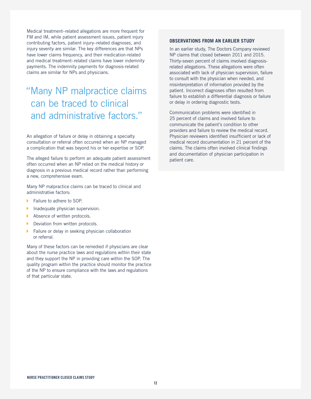Medical treatment–related allegations are more frequent for FM and IM, while patient assessment issues, patient injury contributing factors, patient injury–related diagnoses, and injury severity are similar. The key differences are that NPs have lower claims frequency, and their medication-related and medical treatment–related claims have lower indemnity payments. The indemnity payments for diagnosis-related claims are similar for NPs and physicians.

# "Many NP malpractice claims can be traced to clinical and administrative factors."

An allegation of failure or delay in obtaining a specialty consultation or referral often occurred when an NP managed a complication that was beyond his or her expertise or SOP.

The alleged failure to perform an adequate patient assessment often occurred when an NP relied on the medical history or diagnosis in a previous medical record rather than performing a new, comprehensive exam.

Many NP malpractice claims can be traced to clinical and administrative factors:

- Failure to adhere to SOP.
- Inadequate physician supervision.
- Absence of written protocols.
- Deviation from written protocols.
- **Failure or delay in seeking physician collaboration** or referral.

Many of these factors can be remedied if physicians are clear about the nurse practice laws and regulations within their state and they support the NP in providing care within the SOP. The quality program within the practice should monitor the practice of the NP to ensure compliance with the laws and regulations of that particular state.

#### **OBSERVATIONS FROM AN EARLIER STUDY**

In an earlier study, The Doctors Company reviewed NP claims that closed between 2011 and 2015. Thirty-seven percent of claims involved diagnosisrelated allegations. These allegations were often associated with lack of physician supervision, failure to consult with the physician when needed, and misinterpretation of information provided by the patient. Incorrect diagnoses often resulted from failure to establish a differential diagnosis or failure or delay in ordering diagnostic tests.

Communication problems were identified in 25 percent of claims and involved failure to communicate the patient's condition to other providers and failure to review the medical record. Physician reviewers identified insufficient or lack of medical record documentation in 21 percent of the claims. The claims often involved clinical findings and documentation of physician participation in patient care.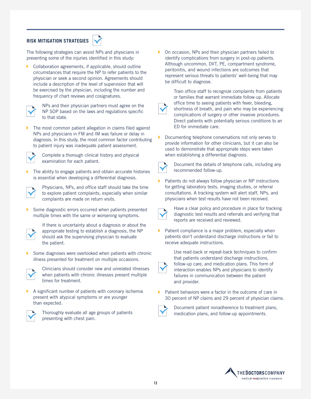## **RISK MITIGATION STRATEGIES**

![](_page_12_Picture_1.jpeg)

The following strategies can assist NPs and physicians in preventing some of the injuries identified in this study:

K Collaboration agreements, if applicable, should outline circumstances that require the NP to refer patients to the physician or seek a second opinion. Agreements should include a description of the level of supervision that will be exercised by the physician, including the number and frequency of chart reviews and cosignatures.

![](_page_12_Picture_4.jpeg)

NPs and their physician partners must agree on the NP SOP based on the laws and regulations specific to that state.

The most common patient allegation in claims filed against NPs and physicians in FM and IM was failure or delay in diagnosis. In this study, the most common factor contributing to patient injury was inadequate patient assessment.

![](_page_12_Picture_7.jpeg)

Complete a thorough clinical history and physical examination for each patient.

The ability to engage patients and obtain accurate histories is essential when developing a differential diagnosis.

![](_page_12_Picture_10.jpeg)

Physicians, NPs, and office staff should take the time to explore patient complaints, especially when similar complaints are made on return visits.

Some diagnostic errors occurred when patients presented multiple times with the same or worsening symptoms.

![](_page_12_Picture_13.jpeg)

If there is uncertainty about a diagnosis or about the appropriate testing to establish a diagnosis, the NP should ask the supervising physician to evaluate the patient.

Some diagnoses were overlooked when patients with chronic illness presented for treatment on multiple occasions.

![](_page_12_Picture_16.jpeg)

Clinicians should consider new and unrelated illnesses when patients with chronic illnesses present multiple times for treatment.

A significant number of patients with coronary ischemia present with atypical symptoms or are younger than expected.

![](_page_12_Picture_19.jpeg)

Thoroughly evaluate all age groups of patients presenting with chest pain.

On occasion, NPs and their physician partners failed to identify complications from surgery in post-op patients. Although uncommon, DVT, PE, compartment syndrome, peritonitis, and wound infections are outcomes that represent serious threats to patients' well-being that may be difficult to diagnose.

![](_page_12_Picture_22.jpeg)

Train office staff to recognize complaints from patients or families that warrant immediate follow-up. Allocate office time to seeing patients with fever, bleeding, shortness of breath, and pain who may be experiencing complications of surgery or other invasive procedures. Direct patients with potentially serious conditions to an ED for immediate care.

Documenting telephone conversations not only serves to provide information for other clinicians, but it can also be used to demonstrate that appropriate steps were taken when establishing a differential diagnosis.

![](_page_12_Picture_25.jpeg)

Document the details of telephone calls, including any recommended follow-up.

Patients do not always follow physician or NP instructions for getting laboratory tests, imaging studies, or referral consultations. A tracking system will alert staff, NPs, and physicians when test results have not been received.

![](_page_12_Picture_28.jpeg)

Have a clear policy and procedure in place for tracking diagnostic test results and referrals and verifying that reports are received and reviewed.

 $\triangleright$  Patient compliance is a major problem, especially when patients don't understand discharge instructions or fail to receive adequate instructions.

![](_page_12_Picture_31.jpeg)

Use read-back or repeat-back techniques to confirm that patients understand discharge instructions, follow-up care, and medication plans. This form of interaction enables NPs and physicians to identify failures in communication between the patient and provider.

Patient behaviors were a factor in the outcome of care in 30 percent of NP claims and 29 percent of physician claims.

![](_page_12_Picture_34.jpeg)

Document patient nonadherence to treatment plans, medication plans, and follow-up appointments.

![](_page_12_Picture_36.jpeg)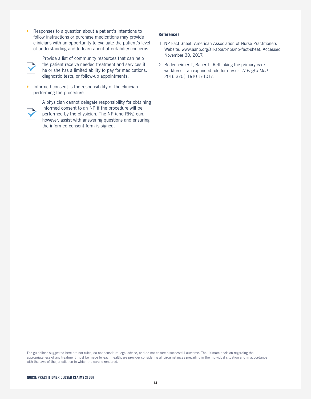$\blacktriangleright$ Responses to a question about a patient's intentions to follow instructions or purchase medications may provide clinicians with an opportunity to evaluate the patient's level of understanding and to learn about affordability concerns.

![](_page_13_Picture_1.jpeg)

Provide a list of community resources that can help the patient receive needed treatment and services if he or she has a limited ability to pay for medications, diagnostic tests, or follow-up appointments.

Informed consent is the responsibility of the clinician performing the procedure.

![](_page_13_Picture_4.jpeg)

A physician cannot delegate responsibility for obtaining informed consent to an NP if the procedure will be performed by the physician. The NP (and RNs) can, however, assist with answering questions and ensuring the informed consent form is signed.

#### **References**

- 1. NP Fact Sheet. American Association of Nurse Practitioners Website. www.aanp.org/all-about-nps/np-fact-sheet. Accessed November 30, 2017.
- 2. Bodenheimer T, Bauer L. Rethinking the primary care workforce—an expanded role for nurses. *N Engl J Med*. 2016;375(11):1015-1017.

The guidelines suggested here are not rules, do not constitute legal advice, and do not ensure a successful outcome. The ultimate decision regarding the appropriateness of any treatment must be made by each healthcare provider considering all circumstances prevailing in the individual situation and in accordance with the laws of the jurisdiction in which the care is rendered.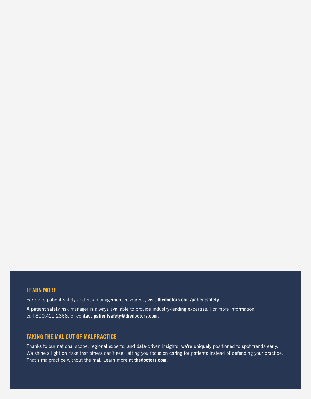## **LEARN MORE**

For more patient safety and risk management resources, visit **thedoctors.com/patientsafety**.

A patient safety risk manager is always available to provide industry-leading expertise. For more information, call 800.421.2368, or contact **patientsafety@thedoctors.com**.

## **TAKING THE MAL OUT OF MALPRACTICE**

Thanks to our national scope, regional experts, and data-driven insights, we're uniquely positioned to spot trends early. We shine a light on risks that others can't see, letting you focus on caring for patients instead of defending your practice. That's malpractice without the mal. Learn more at **thedoctors.com**.